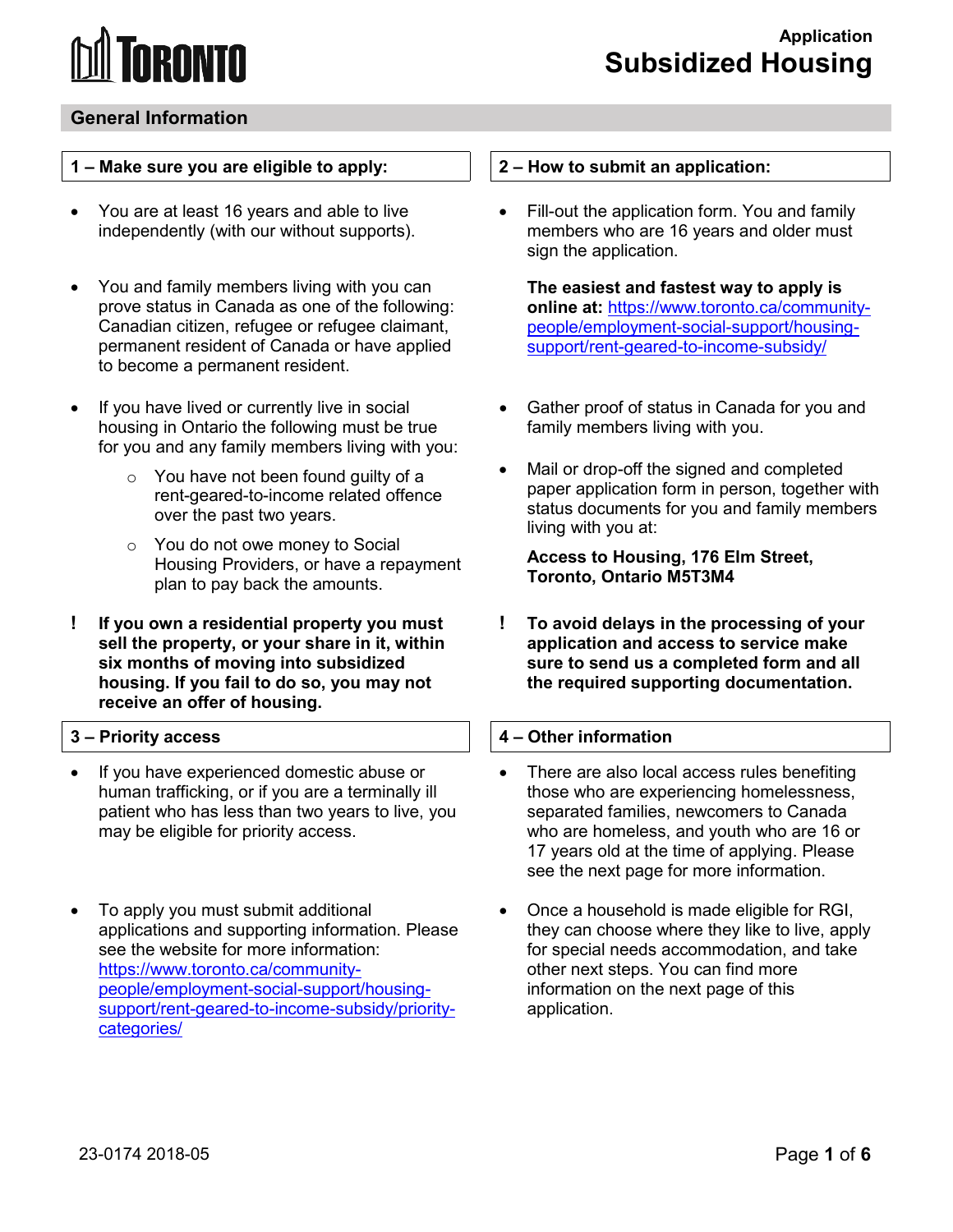# **IRANTA**

### **General Information**

#### **1 – Make sure you are eligible to apply:**

- independently (with our without supports). • You are at least 16 years and able to live
- $\bullet$ • You and family members living with you can prove status in Canada as one of the following: Canadian citizen, refugee or refugee claimant, permanent resident of Canada or have applied to become a permanent resident.
- If you have lived or currently live in social housing in Ontario the following must be true for you and any family members living with you:
	- over the past two years. o You have not been found guilty of a rent-geared-to-income related offence
	- o You do not owe money to Social Housing Providers, or have a repayment plan to pay back the amounts.
- **sell the property, or your share in it, within ! If you own a residential property you must six months of moving into subsidized housing. If you fail to do so, you may not receive an offer of housing.**

#### **3 – Priority access**

- If you have experienced domestic abuse or human trafficking, or if you are a terminally ill patient who has less than two years to live, you may be eligible for priority access.
- To apply you must submit additional applications and supporting information. Please see the website for more information: [https://www.toronto.ca/community](https://www.toronto.ca/community-people/employment-social-support/housing-support/rent-geared-to-income-subsidy/priority-categories/)[people/employment-social-support/housing](https://www.toronto.ca/community-people/employment-social-support/housing-support/rent-geared-to-income-subsidy/priority-categories/)[support/rent-geared-to-income-subsidy/priority](https://www.toronto.ca/community-people/employment-social-support/housing-support/rent-geared-to-income-subsidy/priority-categories/)[categories/](https://www.toronto.ca/community-people/employment-social-support/housing-support/rent-geared-to-income-subsidy/priority-categories/)

#### **2 – How to submit an application:**

Fill-out the application form. You and family members who are 16 years and older must sign the application.

**The easiest and fastest way to apply is online at:** [https://www.toronto.ca/community](https://www.toronto.ca/community-people/employment-social-support/housing-support/rent-geared-to-income-subsidy/)[people/employment-social-support/housing](https://www.toronto.ca/community-people/employment-social-support/housing-support/rent-geared-to-income-subsidy/)[support/rent-geared-to-income-subsidy/](https://www.toronto.ca/community-people/employment-social-support/housing-support/rent-geared-to-income-subsidy/) 

- Gather proof of status in Canada for you and family members living with you.
- Mail or drop-off the signed and completed paper application form in person, together with status documents for you and family members living with you at:

**Access to Housing, 176 Elm Street, Toronto, Ontario M5T3M4** 

**! To avoid delays in the processing of your application and access to service make sure to send us a completed form and all the required supporting documentation.** 

#### **4 – Other information**

- 17 years old at the time of applying. Please • There are also local access rules benefiting those who are experiencing homelessness, separated families, newcomers to Canada who are homeless, and youth who are 16 or see the next page for more information.
- information on the next page of this • Once a household is made eligible for RGI, they can choose where they like to live, apply for special needs accommodation, and take other next steps. You can find more application.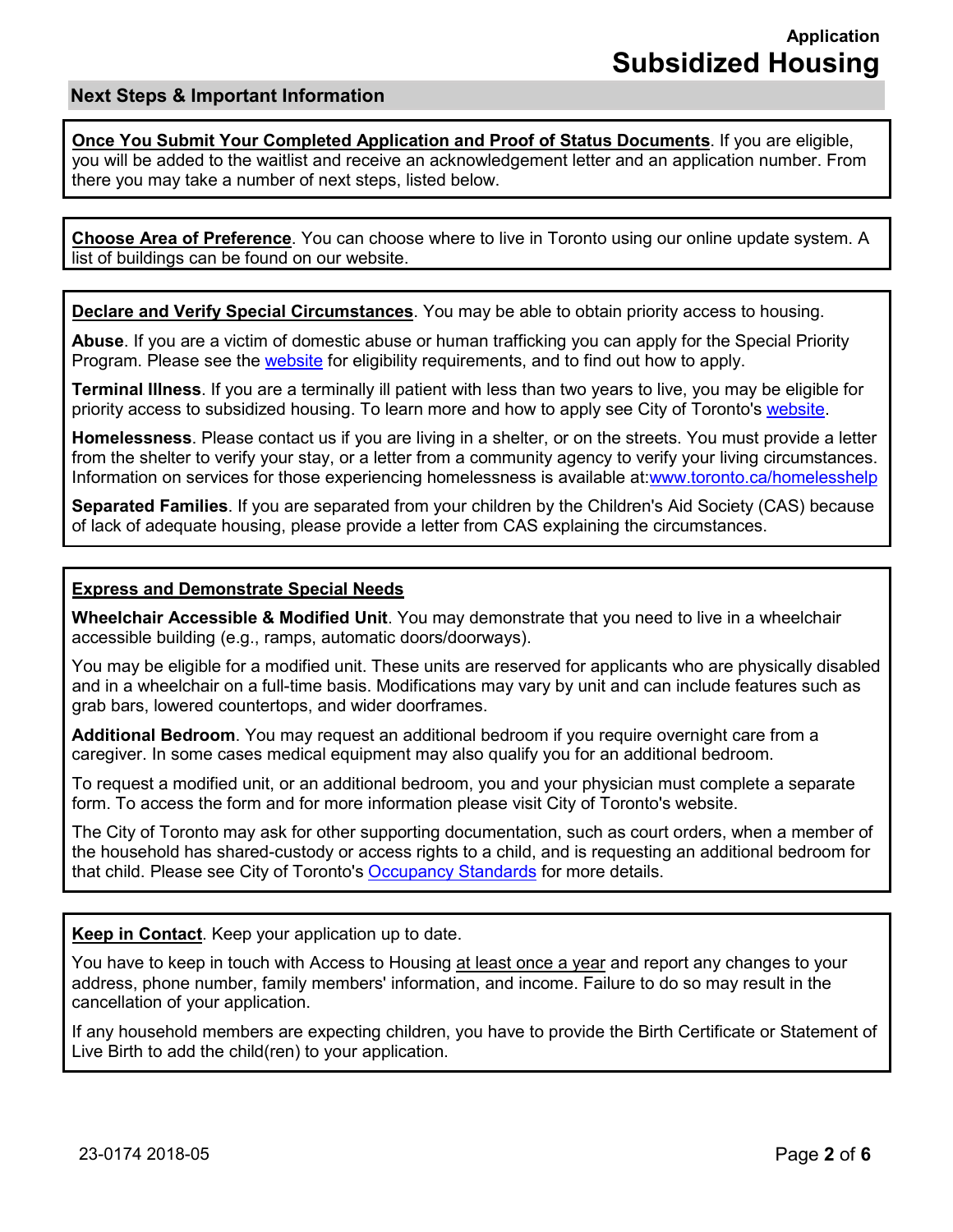#### **Next Steps & Important Information**

**Once You Submit Your Completed Application and Proof of Status Documents**. If you are eligible, you will be added to the waitlist and receive an acknowledgement letter and an application number. From there you may take a number of next steps, listed below.

 **Choose Area of Preference**. You can choose where to live in Toronto using our online update system. A list of buildings can be found on our website.

**Declare and Verify Special Circumstances**. You may be able to obtain priority access to housing.

Program. Please see the <u>website</u> for eligibility requirements, and to find out how to apply. **Abuse**. If you are a victim of domestic abuse or human trafficking you can apply for the Special Priority

priority access to subsidized housing. To learn more and how to apply see City of Toronto's <u>website</u>. **Terminal Illness**. If you are a terminally ill patient with less than two years to live, you may be eligible for

 from the shelter to verify your stay, or a letter from a community agency to verify your living circumstances. **Homelessness**. Please contact us if you are living in a shelter, or on the streets. You must provide a letter Information on services for those experiencing homelessness is available at[:www.toronto.ca/homelesshelp](http://www.toronto.ca/homelesshelp) 

 **Separated Families**. If you are separated from your children by the Children's Aid Society (CAS) because of lack of adequate housing, please provide a letter from CAS explaining the circumstances.

#### **Express and Demonstrate Special Needs**

**Wheelchair Accessible & Modified Unit**. You may demonstrate that you need to live in a wheelchair accessible building (e.g., ramps, automatic doors/doorways).

You may be eligible for a modified unit. These units are reserved for applicants who are physically disabled and in a wheelchair on a full-time basis. Modifications may vary by unit and can include features such as grab bars, lowered countertops, and wider doorframes.

 caregiver. In some cases medical equipment may also qualify you for an additional bedroom. **Additional Bedroom**. You may request an additional bedroom if you require overnight care from a

 form. To access the form and for more information please visit City of Toronto's website. To request a modified unit, or an additional bedroom, you and your physician must complete a separate

 The City of Toronto may ask for other supporting documentation, such as court orders, when a member of the household has shared-custody or access rights to a child, and is requesting an additional bedroom for that child. Please see City of Toronto's <u>Occupancy Standards</u> for more details.

**Keep in Contact**. Keep your application up to date.

You have to keep in touch with Access to Housing <u>at least once a year</u> and report any changes to your cancellation of your application. address, phone number, family members' information, and income. Failure to do so may result in the

Live Birth to add the child(ren) to your application. If any household members are expecting children, you have to provide the Birth Certificate or Statement of Live Birth to add the child(ren) to your application. 23-0174 2018-05 Page **2** of **6**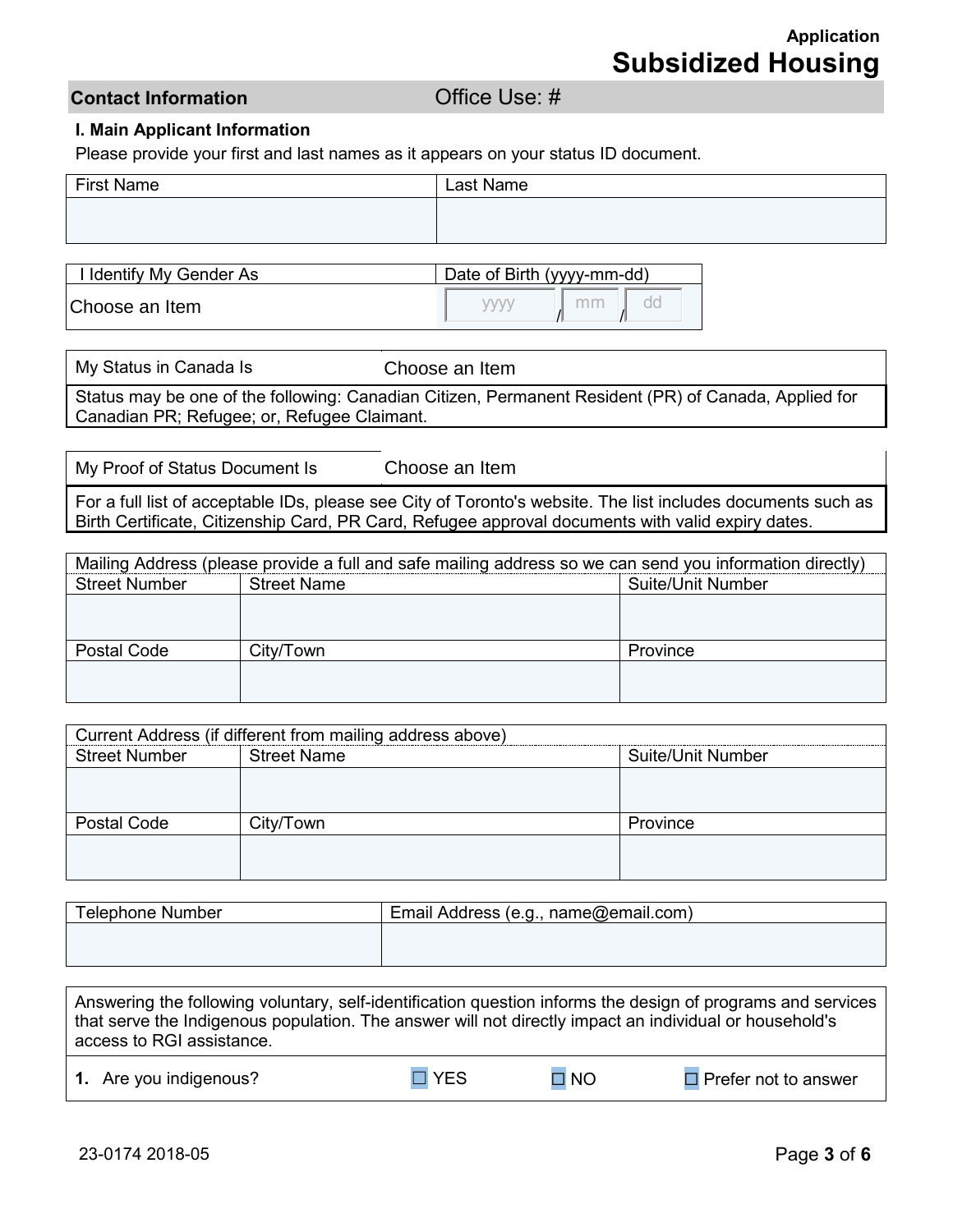### **Contact Information** *Contact Information*

#### **I. Main Applicant Information**

Please provide your first and last names as it appears on your status ID document.

| <b>First Name</b> | Last Name |
|-------------------|-----------|
|                   |           |
|                   |           |

| I Identify My Gender As | Date of Birth (yyyy-mm-dd) |  |  |  |
|-------------------------|----------------------------|--|--|--|
| Choose an Item          |                            |  |  |  |

| My Status in Canada Is                      | Choose an Item                                                                                       |
|---------------------------------------------|------------------------------------------------------------------------------------------------------|
|                                             | Status may be one of the following: Canadian Citizen, Permanent Resident (PR) of Canada, Applied for |
| Canadian PR; Refugee; or, Refugee Claimant. |                                                                                                      |

My Proof of Status Document Is

Choose an Item

For a full list of acceptable IDs, please see City of Toronto's website. The list includes documents such as Birth Certificate, Citizenship Card, PR Card, Refugee approval documents with valid expiry dates.

| Mailing Address (please provide a full and safe mailing address so we can send you information directly) |                    |                          |  |  |
|----------------------------------------------------------------------------------------------------------|--------------------|--------------------------|--|--|
| <b>Street Number</b>                                                                                     | <b>Street Name</b> | <b>Suite/Unit Number</b> |  |  |
|                                                                                                          |                    |                          |  |  |
|                                                                                                          |                    |                          |  |  |
| Postal Code                                                                                              | City/Town          | Province                 |  |  |
|                                                                                                          |                    |                          |  |  |
|                                                                                                          |                    |                          |  |  |

|                      | Current Address (if different from mailing address above) |          |  |
|----------------------|-----------------------------------------------------------|----------|--|
| <b>Street Number</b> | <b>Street Name</b><br>Suite/Unit Number                   |          |  |
|                      |                                                           |          |  |
|                      |                                                           |          |  |
| Postal Code          | City/Town                                                 | Province |  |
|                      |                                                           |          |  |
|                      |                                                           |          |  |

| Telephone Number | Email Address (e.g., name@email.com) |  |  |
|------------------|--------------------------------------|--|--|
|                  |                                      |  |  |
|                  |                                      |  |  |

Answering the following voluntary, self-identification question informs the design of programs and services that serve the Indigenous population. The answer will not directly impact an individual or household's access to RGI assistance.

| 1. Are you indigenous? | $\Box$ YFS | $\Box$ NO | $\Box$ Prefer not to answer |
|------------------------|------------|-----------|-----------------------------|
|------------------------|------------|-----------|-----------------------------|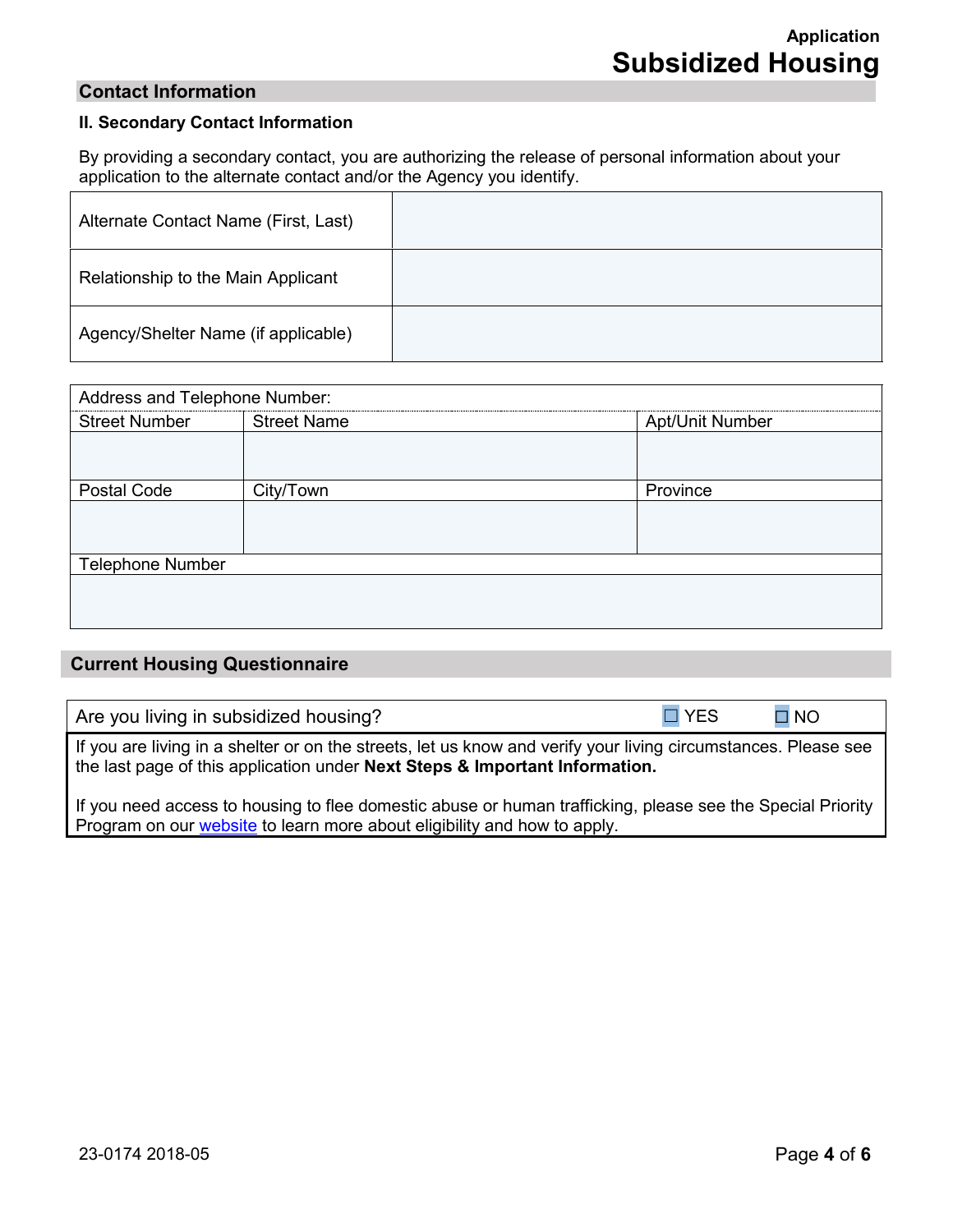#### **Contact Information**

#### **II. Secondary Contact Information**

 By providing a secondary contact, you are authorizing the release of personal information about your application to the alternate contact and/or the Agency you identify.

| Alternate Contact Name (First, Last) |  |
|--------------------------------------|--|
| Relationship to the Main Applicant   |  |
| Agency/Shelter Name (if applicable)  |  |

| Address and Telephone Number:                               |                    |                        |  |  |  |
|-------------------------------------------------------------|--------------------|------------------------|--|--|--|
| -----------------------------------<br><b>Street Number</b> | <b>Street Name</b> | <b>Apt/Unit Number</b> |  |  |  |
|                                                             |                    |                        |  |  |  |
|                                                             |                    |                        |  |  |  |
| Postal Code                                                 | City/Town          | Province               |  |  |  |
|                                                             |                    |                        |  |  |  |
|                                                             |                    |                        |  |  |  |
| <b>Telephone Number</b>                                     |                    |                        |  |  |  |
|                                                             |                    |                        |  |  |  |
|                                                             |                    |                        |  |  |  |
|                                                             |                    |                        |  |  |  |

#### **Current Housing Questionnaire**

| Are you living in subsidized housing? | $\Box$ YES | $\square$ NO |
|---------------------------------------|------------|--------------|
|---------------------------------------|------------|--------------|

If you are living in a shelter or on the streets, let us know and verify your living circumstances. Please see the last page of this application under **Next Steps & Important Information.** 

If you need access to housing to flee domestic abuse or human trafficking, please see the Special Priority Program on our **website** to learn more about eligibility and how to apply.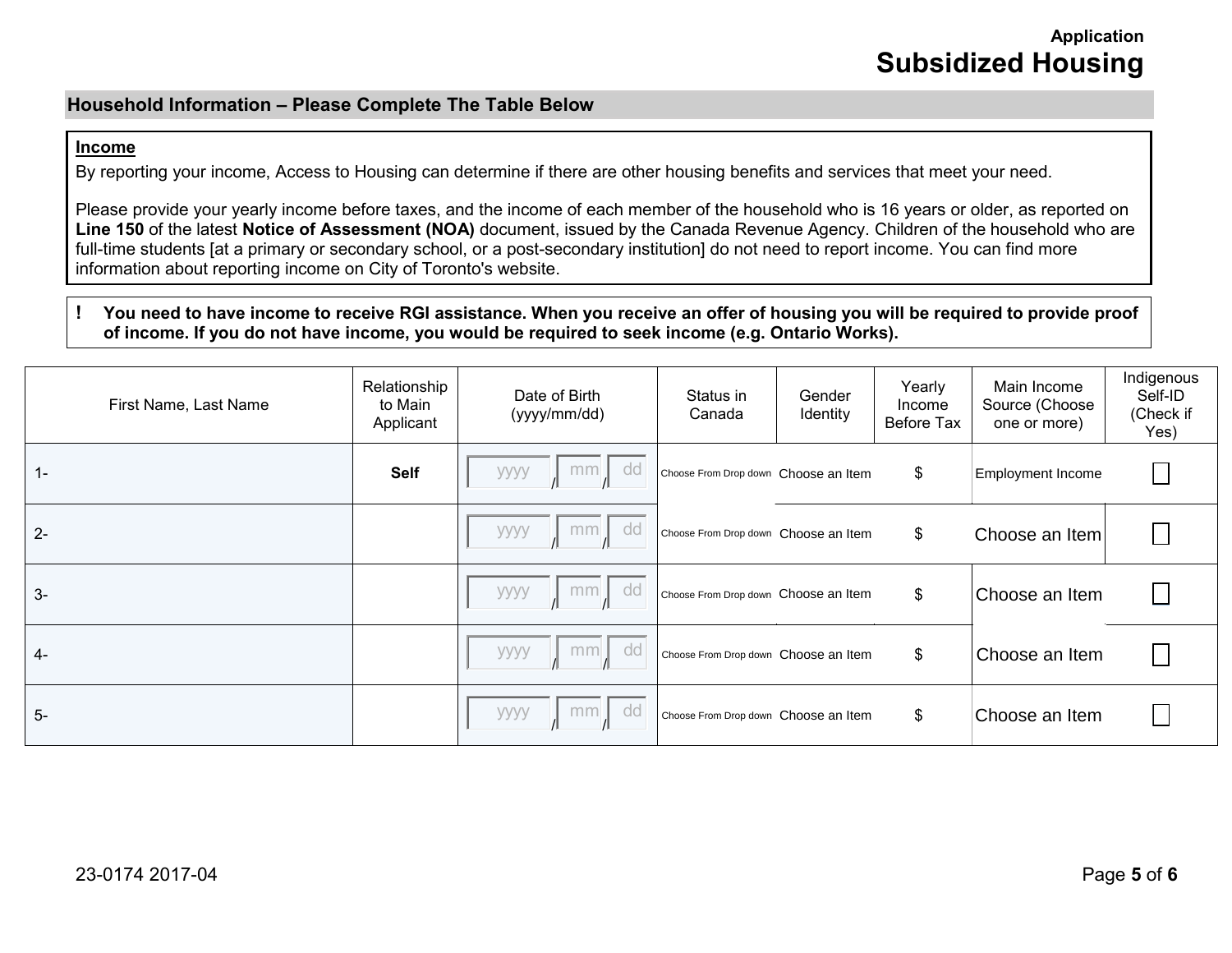## **Application Subsidized Housing**

#### **Household Information – Please Complete The Table Below**

#### **Income**

By reporting your income, Access to Housing can determine if there are other housing benefits and services that meet your need.

Please provide your yearly income before taxes, and the income of each member of the household who is 16 years or older, as reported on **Line 150** of the latest **Notice of Assessment (NOA)** document, issued by the Canada Revenue Agency. Children of the household who are full-time students [at a primary or secondary school, or a post-secondary institution] do not need to report income. You can find more information about reporting income on City of Toronto's website.

#### **! You need to have income to receive RGI assistance. When you receive an offer of housing you will be required to provide proof of income. If you do not have income, you would be required to seek income (e.g. Ontario Works).**

| First Name, Last Name | Relationship<br>to Main<br>Applicant | Date of Birth<br>(yyyy/mm/dd) | Status in<br>Canada                  | Gender<br>Identity | Yearly<br>Income<br>Before Tax | Main Income<br>Source (Choose<br>one or more) | Indigenous<br>Self-ID<br>(Check if<br>Yes) |
|-----------------------|--------------------------------------|-------------------------------|--------------------------------------|--------------------|--------------------------------|-----------------------------------------------|--------------------------------------------|
| $1 -$                 | <b>Self</b>                          | dd<br>mm<br>уууу              | Choose From Drop down Choose an Item |                    | \$                             | Employment Income                             |                                            |
| $2 -$                 |                                      | dd<br>mm<br>уууу              | Choose From Drop down Choose an Item |                    | \$                             | Choose an Item                                |                                            |
| $3-$                  |                                      | dd<br>mm<br>уууу              | Choose From Drop down Choose an Item |                    | \$                             | Choose an Item                                |                                            |
| $4-$                  |                                      | dd<br>уууу<br>mm              | Choose From Drop down Choose an Item |                    | \$                             | Choose an Item                                |                                            |
| $5-$                  |                                      | dd<br>mm<br>уууу              | Choose From Drop down Choose an Item |                    | \$                             | Choose an Item                                |                                            |